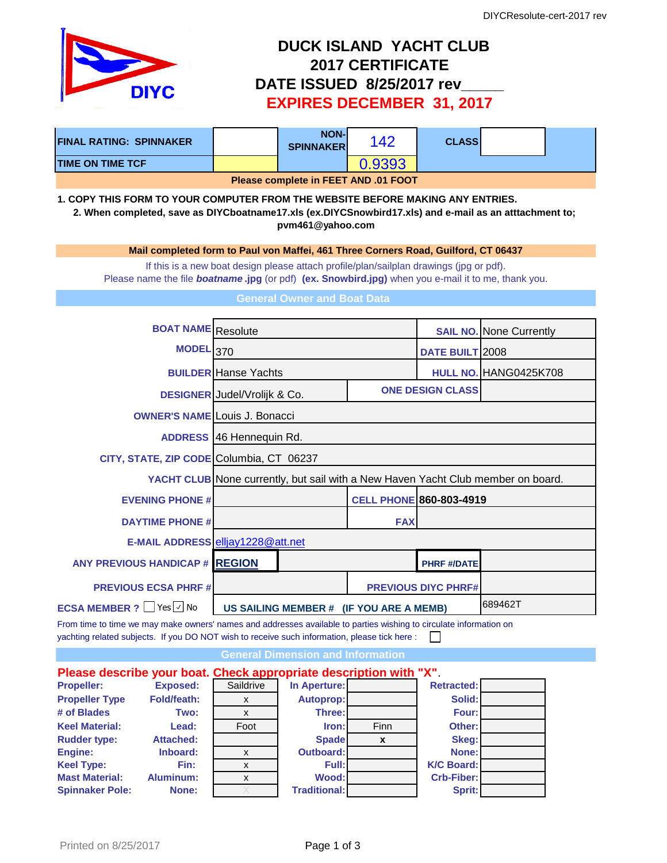

## **DUCK ISLAND YACHT CLUB 2017 CERTIFICATE DATE ISSUED 8/25/2017 rev\_\_\_\_\_ EXPIRES DECEMBER 31, 2017**

| <b>FINAL RATING: SPINNAKER</b>                                                                                                                                                                                                                                                                     |                                     | <b>NON-</b><br><b>SPINNAKER</b>                                                  | 142                                                                                     | <b>CLASS</b>               |                                |  |  |  |
|----------------------------------------------------------------------------------------------------------------------------------------------------------------------------------------------------------------------------------------------------------------------------------------------------|-------------------------------------|----------------------------------------------------------------------------------|-----------------------------------------------------------------------------------------|----------------------------|--------------------------------|--|--|--|
| <b>TIME ON TIME TCF</b>                                                                                                                                                                                                                                                                            |                                     |                                                                                  | 0.9393                                                                                  |                            |                                |  |  |  |
| Please complete in FEET AND .01 FOOT                                                                                                                                                                                                                                                               |                                     |                                                                                  |                                                                                         |                            |                                |  |  |  |
| 1. COPY THIS FORM TO YOUR COMPUTER FROM THE WEBSITE BEFORE MAKING ANY ENTRIES.<br>2. When completed, save as DIYCboatname17.xls (ex.DIYCSnowbird17.xls) and e-mail as an atttachment to;<br>pvm461@yahoo.com<br>Mail completed form to Paul von Maffei, 461 Three Corners Road, Guilford, CT 06437 |                                     |                                                                                  |                                                                                         |                            |                                |  |  |  |
|                                                                                                                                                                                                                                                                                                    |                                     |                                                                                  |                                                                                         |                            |                                |  |  |  |
| Please name the file <b>boatname.jpg</b> (or pdf) (ex. Snowbird.jpg) when you e-mail it to me, thank you.                                                                                                                                                                                          |                                     |                                                                                  | If this is a new boat design please attach profile/plan/sailplan drawings (jpg or pdf). |                            |                                |  |  |  |
|                                                                                                                                                                                                                                                                                                    |                                     | <b>General Owner and Boat Data</b>                                               |                                                                                         |                            |                                |  |  |  |
|                                                                                                                                                                                                                                                                                                    |                                     |                                                                                  |                                                                                         |                            |                                |  |  |  |
| <b>BOAT NAME</b> Resolute                                                                                                                                                                                                                                                                          |                                     |                                                                                  |                                                                                         |                            | <b>SAIL NO.</b> None Currently |  |  |  |
| <b>MODEL</b> 370                                                                                                                                                                                                                                                                                   |                                     |                                                                                  |                                                                                         | <b>DATE BUILT 2008</b>     |                                |  |  |  |
|                                                                                                                                                                                                                                                                                                    | <b>BUILDER</b> Hanse Yachts         |                                                                                  |                                                                                         |                            | HULL NO. HANG0425K708          |  |  |  |
|                                                                                                                                                                                                                                                                                                    | <b>DESIGNER</b> Judel/Vrolijk & Co. |                                                                                  | <b>ONE DESIGN CLASS</b>                                                                 |                            |                                |  |  |  |
| <b>OWNER'S NAME Louis J. Bonacci</b>                                                                                                                                                                                                                                                               |                                     |                                                                                  |                                                                                         |                            |                                |  |  |  |
|                                                                                                                                                                                                                                                                                                    | <b>ADDRESS</b> 46 Hennequin Rd.     |                                                                                  |                                                                                         |                            |                                |  |  |  |
| CITY, STATE, ZIP CODE Columbia, CT 06237                                                                                                                                                                                                                                                           |                                     |                                                                                  |                                                                                         |                            |                                |  |  |  |
|                                                                                                                                                                                                                                                                                                    |                                     | YACHT CLUB None currently, but sail with a New Haven Yacht Club member on board. |                                                                                         |                            |                                |  |  |  |
| <b>EVENING PHONE #</b>                                                                                                                                                                                                                                                                             |                                     |                                                                                  | <b>CELL PHONE 860-803-4919</b>                                                          |                            |                                |  |  |  |
| <b>DAYTIME PHONE #</b>                                                                                                                                                                                                                                                                             |                                     |                                                                                  | <b>FAX</b>                                                                              |                            |                                |  |  |  |
| E-MAIL ADDRESS elljay1228@att.net                                                                                                                                                                                                                                                                  |                                     |                                                                                  |                                                                                         |                            |                                |  |  |  |
| <b>ANY PREVIOUS HANDICAP # REGION</b>                                                                                                                                                                                                                                                              |                                     |                                                                                  |                                                                                         | <b>PHRF #/DATE</b>         |                                |  |  |  |
| <b>PREVIOUS ECSA PHRF#</b>                                                                                                                                                                                                                                                                         |                                     |                                                                                  |                                                                                         | <b>PREVIOUS DIYC PHRF#</b> |                                |  |  |  |
| <b>ECSA MEMBER ?</b> Yes √ No                                                                                                                                                                                                                                                                      |                                     |                                                                                  | US SAILING MEMBER # (IF YOU ARE A MEMB)                                                 |                            | 689462T                        |  |  |  |

From time to time we may make owners' names and addresses available to parties wishing to circulate information on yachting related subjects. If you DO NOT wish to receive such information, please tick here :  $\Box$ 

**General Dimension and Information**

## **Please describe your boat. Check appropriate description with "X"**. **Propeller:** Exposed: Saildrive In Aperture: Retracted: **Propeller Type Fold/feath:** x **Autoprop: Mathematic Solid: # of Blades Two:** x **Three: Four: Keel Material: Lead:** Foot **Iron:** Finn **Other: Rudder type: Attached: Spade x Skeg: Engine: Inboard:** x **Outboard: None: Keel Type: Fin:** x **Full: K/C Board: Mast Material: Aluminum:** x **Wood: Crb-Fiber: Spinnaker Pole: None:** X **Traditional: Sprit:**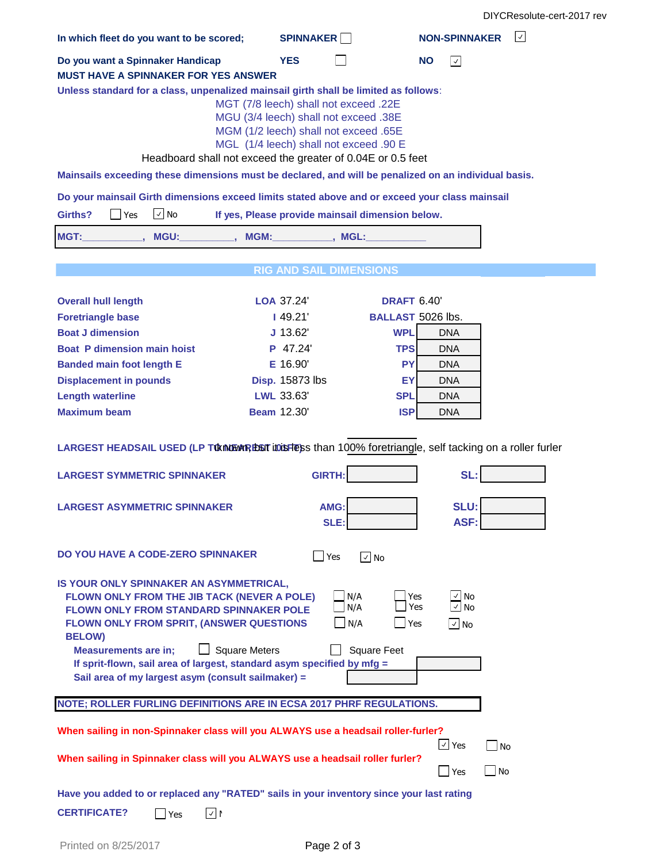| In which fleet do you want to be scored;                                                                                                                                                                                                                                                                                                                                                     | <b>SPINNAKER</b>                                                                                                                                                  | <b>NON-SPINNAKER</b><br>$ \vee $                                                       |  |  |
|----------------------------------------------------------------------------------------------------------------------------------------------------------------------------------------------------------------------------------------------------------------------------------------------------------------------------------------------------------------------------------------------|-------------------------------------------------------------------------------------------------------------------------------------------------------------------|----------------------------------------------------------------------------------------|--|--|
| Do you want a Spinnaker Handicap                                                                                                                                                                                                                                                                                                                                                             | <b>YES</b>                                                                                                                                                        | <b>NO</b><br>$ \hspace{.06cm}\sqrt{ } \hspace{.06cm}$                                  |  |  |
| <b>MUST HAVE A SPINNAKER FOR YES ANSWER</b>                                                                                                                                                                                                                                                                                                                                                  |                                                                                                                                                                   |                                                                                        |  |  |
| Unless standard for a class, unpenalized mainsail girth shall be limited as follows:<br>Headboard shall not exceed the greater of 0.04E or 0.5 feet                                                                                                                                                                                                                                          | MGT (7/8 leech) shall not exceed .22E<br>MGU (3/4 leech) shall not exceed .38E<br>MGM (1/2 leech) shall not exceed .65E<br>MGL (1/4 leech) shall not exceed .90 E |                                                                                        |  |  |
| Mainsails exceeding these dimensions must be declared, and will be penalized on an individual basis.                                                                                                                                                                                                                                                                                         |                                                                                                                                                                   |                                                                                        |  |  |
| Do your mainsail Girth dimensions exceed limits stated above and or exceed your class mainsail                                                                                                                                                                                                                                                                                               |                                                                                                                                                                   |                                                                                        |  |  |
| $\vee$ No<br>Girths?<br><b>Yes</b>                                                                                                                                                                                                                                                                                                                                                           | If yes, Please provide mainsail dimension below.                                                                                                                  |                                                                                        |  |  |
|                                                                                                                                                                                                                                                                                                                                                                                              |                                                                                                                                                                   |                                                                                        |  |  |
| MGT:<br>MGU: , MGM: , MGL:                                                                                                                                                                                                                                                                                                                                                                   |                                                                                                                                                                   |                                                                                        |  |  |
|                                                                                                                                                                                                                                                                                                                                                                                              | <b>RIG AND SAIL DIMENSIONS</b>                                                                                                                                    |                                                                                        |  |  |
|                                                                                                                                                                                                                                                                                                                                                                                              |                                                                                                                                                                   |                                                                                        |  |  |
| <b>Overall hull length</b>                                                                                                                                                                                                                                                                                                                                                                   | LOA 37.24'                                                                                                                                                        | <b>DRAFT 6.40'</b>                                                                     |  |  |
| <b>Foretriangle base</b>                                                                                                                                                                                                                                                                                                                                                                     | 149.21'                                                                                                                                                           | <b>BALLAST 5026 lbs.</b>                                                               |  |  |
| <b>Boat J dimension</b><br><b>Boat P dimension main hoist</b>                                                                                                                                                                                                                                                                                                                                | $J$ 13.62'<br><b>WPL</b><br>P 47.24<br><b>TPS</b>                                                                                                                 | <b>DNA</b>                                                                             |  |  |
| <b>Banded main foot length E</b>                                                                                                                                                                                                                                                                                                                                                             | E 16.90<br><b>PY</b>                                                                                                                                              | <b>DNA</b><br><b>DNA</b>                                                               |  |  |
| <b>Displacement in pounds</b>                                                                                                                                                                                                                                                                                                                                                                | <b>Disp. 15873 lbs</b><br>EY                                                                                                                                      | <b>DNA</b>                                                                             |  |  |
| <b>Length waterline</b>                                                                                                                                                                                                                                                                                                                                                                      | LWL 33.63'<br><b>SPL</b>                                                                                                                                          | <b>DNA</b>                                                                             |  |  |
| <b>Maximum beam</b>                                                                                                                                                                                                                                                                                                                                                                          | <b>Beam 12.30'</b><br><b>ISP</b>                                                                                                                                  | DNA                                                                                    |  |  |
| LARGEST HEADSAIL USED (LP TO MUSIC LIGHT LOISHESS than 100% foretriangle, self tacking on a roller furler                                                                                                                                                                                                                                                                                    |                                                                                                                                                                   |                                                                                        |  |  |
| <b>LARGEST SYMMETRIC SPINNAKER</b>                                                                                                                                                                                                                                                                                                                                                           | <b>GIRTH:</b>                                                                                                                                                     | SL:                                                                                    |  |  |
| <b>LARGEST ASYMMETRIC SPINNAKER</b>                                                                                                                                                                                                                                                                                                                                                          | AMG:<br>SLE:                                                                                                                                                      | <b>SLU:</b><br>ASF:                                                                    |  |  |
| DO YOU HAVE A CODE-ZERO SPINNAKER                                                                                                                                                                                                                                                                                                                                                            | Yes<br>$\sqrt{ }$ No                                                                                                                                              |                                                                                        |  |  |
| IS YOUR ONLY SPINNAKER AN ASYMMETRICAL,<br>FLOWN ONLY FROM THE JIB TACK (NEVER A POLE)<br><b>FLOWN ONLY FROM STANDARD SPINNAKER POLE</b><br>FLOWN ONLY FROM SPRIT, (ANSWER QUESTIONS<br><b>BELOW)</b><br><b>Square Meters</b><br><b>Measurements are in;</b><br>If sprit-flown, sail area of largest, standard asym specified by mfg =<br>Sail area of my largest asym (consult sailmaker) = | N/A<br>N/A<br>N/A<br><b>Square Feet</b>                                                                                                                           | Yes<br>$\vee$ No<br>Yes<br>$\checkmark$<br><b>No</b><br>$\exists$ Yes<br>$\sqrt{ }$ No |  |  |
| NOTE; ROLLER FURLING DEFINITIONS ARE IN ECSA 2017 PHRF REGULATIONS.                                                                                                                                                                                                                                                                                                                          |                                                                                                                                                                   |                                                                                        |  |  |
| When sailing in non-Spinnaker class will you ALWAYS use a headsail roller-furler?<br>When sailing in Spinnaker class will you ALWAYS use a headsail roller furler?                                                                                                                                                                                                                           |                                                                                                                                                                   | $\vee$ Yes<br><b>No</b><br>$\blacksquare$ No<br>$\blacksquare$ Yes                     |  |  |
| Have you added to or replaced any "RATED" sails in your inventory since your last rating                                                                                                                                                                                                                                                                                                     |                                                                                                                                                                   |                                                                                        |  |  |
| <b>CERTIFICATE?</b><br>$\sqrt{1}$<br>Yes                                                                                                                                                                                                                                                                                                                                                     |                                                                                                                                                                   |                                                                                        |  |  |